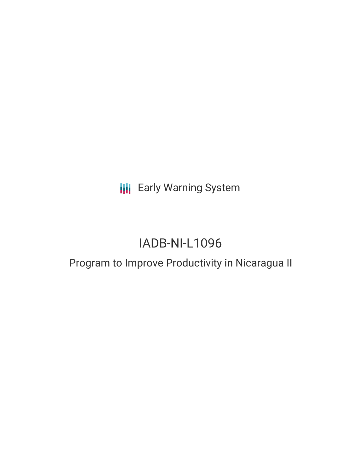**III** Early Warning System

# IADB-NI-L1096

# Program to Improve Productivity in Nicaragua II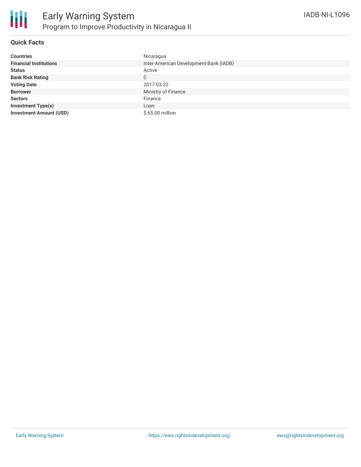

### **Quick Facts**

| <b>Countries</b>               | Nicaragua                              |
|--------------------------------|----------------------------------------|
| <b>Financial Institutions</b>  | Inter-American Development Bank (IADB) |
| <b>Status</b>                  | Active                                 |
| <b>Bank Risk Rating</b>        | C                                      |
| <b>Voting Date</b>             | 2017-03-22                             |
| <b>Borrower</b>                | Ministry of Finance                    |
| <b>Sectors</b>                 | Finance                                |
| <b>Investment Type(s)</b>      | Loan                                   |
| <b>Investment Amount (USD)</b> | \$65.00 million                        |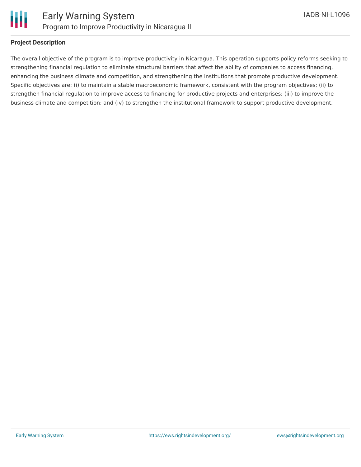

### **Project Description**

The overall objective of the program is to improve productivity in Nicaragua. This operation supports policy reforms seeking to strengthening financial regulation to eliminate structural barriers that affect the ability of companies to access financing, enhancing the business climate and competition, and strengthening the institutions that promote productive development. Specific objectives are: (i) to maintain a stable macroeconomic framework, consistent with the program objectives; (ii) to strengthen financial regulation to improve access to financing for productive projects and enterprises; (iii) to improve the business climate and competition; and (iv) to strengthen the institutional framework to support productive development.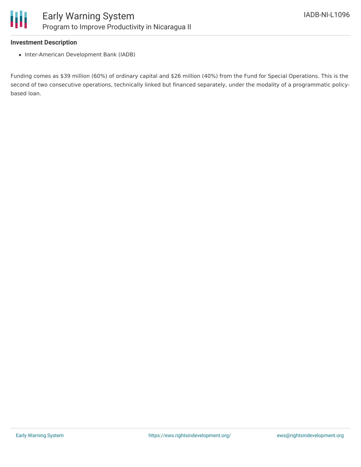#### **Investment Description**

• Inter-American Development Bank (IADB)

Funding comes as \$39 million (60%) of ordinary capital and \$26 million (40%) from the Fund for Special Operations. This is the second of two consecutive operations, technically linked but financed separately, under the modality of a programmatic policybased loan.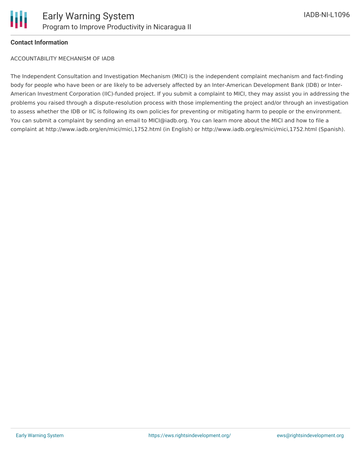

## **Contact Information**

ACCOUNTABILITY MECHANISM OF IADB

The Independent Consultation and Investigation Mechanism (MICI) is the independent complaint mechanism and fact-finding body for people who have been or are likely to be adversely affected by an Inter-American Development Bank (IDB) or Inter-American Investment Corporation (IIC)-funded project. If you submit a complaint to MICI, they may assist you in addressing the problems you raised through a dispute-resolution process with those implementing the project and/or through an investigation to assess whether the IDB or IIC is following its own policies for preventing or mitigating harm to people or the environment. You can submit a complaint by sending an email to MICI@iadb.org. You can learn more about the MICI and how to file a complaint at http://www.iadb.org/en/mici/mici,1752.html (in English) or http://www.iadb.org/es/mici/mici,1752.html (Spanish).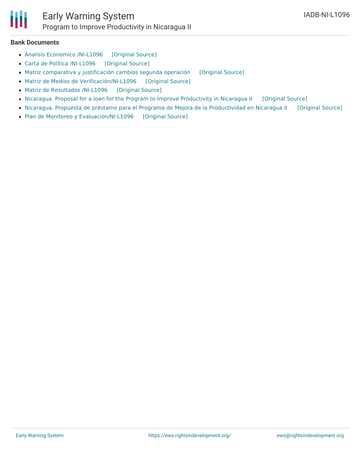

# Early Warning System

Program to Improve Productivity in Nicaragua II

#### **Bank Documents**

- Analisis [Economico](https://ewsdata.rightsindevelopment.org/files/documents/96/IADB-NI-L1096_lYUA8Ox.pdf) /NI-L1096 [\[Original](http://www.iadb.org/Document.cfm?id=40219576) Source]
- Carta de Política [/NI-L1096](https://ewsdata.rightsindevelopment.org/files/documents/96/IADB-NI-L1096_CQvxXgn.pdf) [\[Original](http://www.iadb.org/Document.cfm?id=40685380) Source]
- Matriz [comparativa](https://ewsdata.rightsindevelopment.org/files/documents/96/IADB-NI-L1096_89wPGvc.pdf) y justificación cambios segunda operación [\[Original](http://www.iadb.org/Document.cfm?id=40258972) Source]
- Matriz de Medios de [Verificación/NI-L1096](https://ewsdata.rightsindevelopment.org/files/documents/96/IADB-NI-L1096_7efkD0B.pdf) [\[Original](http://www.iadb.org/Document.cfm?id=40211301) Source]
- Matriz de [Resultados](https://ewsdata.rightsindevelopment.org/files/documents/96/IADB-NI-L1096_HOnDefi.pdf) /NI-L1096 [\[Original](http://www.iadb.org/Document.cfm?id=40204735) Source]
- Nicaragua. Proposal for a loan for the Program to Improve [Productivity](https://ewsdata.rightsindevelopment.org/files/documents/96/IADB-NI-L1096.pdf) in Nicaragua II [\[Original](http://www.iadb.org/Document.cfm?id=40725899) Source]
- Nicaragua. Propuesta de préstamo para el Programa de Mejora de la [Productividad](https://ewsdata.rightsindevelopment.org/files/documents/96/IADB-NI-L1096_ek6DEzt.pdf) en Nicaragua II [\[Original](http://www.iadb.org/Document.cfm?id=40725896) Source]
- Plan de Monitoreo y [Evaluacion/NI-L1096](https://ewsdata.rightsindevelopment.org/files/documents/96/IADB-NI-L1096_TkrcsBR.pdf) [\[Original](http://www.iadb.org/Document.cfm?id=40219600) Source]